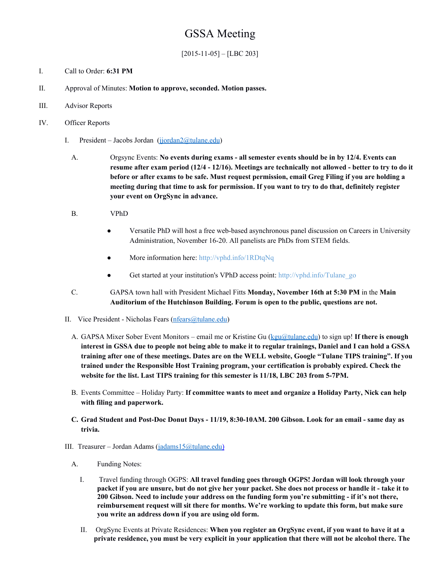# GSSA Meeting

 $[2015-11-05] - [LBC 203]$ 

- I. Call to Order: **6:31 PM**
- II. Approval of Minutes: **Motion to approve, seconded. Motion passes.**
- III. Advisor Reports
- IV. Officer Reports
	- I. President Jacobs Jordan (jjordan $2$ @tulane.edu)
		- A. Orgsync Events: **No events during exams all semester events should be in by 12/4. Events can resume after exam period (12/4 12/16). Meetings are technically not allowed better to try to do it before or after exams to be safe. Must request permission, email Greg Filing if you are holding a meeting during that time to ask for permission. If you want to try to do that, definitely register your event on OrgSync in advance.**
		- B. VPhD
			- Versatile PhD will host a free web-based asynchronous panel discussion on Careers in University Administration, November 16-20. All panelists are PhDs from STEM fields.
			- More information here: <http://vphd.info/1RDtqNq>
			- Get started at your institution's VPhD access point: [http://vphd.info/Tulane\\_go](http://vphd.info/Tulane_go)
		- C. GAPSA town hall with President Michael Fitts **Monday, November 16th at 5:30 PM**in the **Main Auditorium of the Hutchinson Building. Forum is open to the public, questions are not.**
	- II. Vice President Nicholas Fears (nfears  $(a)$ tulane.edu)
		- A. GAPSA Mixer Sober Event Monitors email me or Kristine Gu ([kgu@tulane.edu\)](mailto:kgu@tulane.edu) to sign up! **If there is enough** interest in GSSA due to people not being able to make it to regular trainings, Daniel and I can hold a GSSA training after one of these meetings. Dates are on the WELL website, Google "Tulane TIPS training". If you **trained under the Responsible Host Training program, your certification is probably expired. Check the website for the list. Last TIPS training for this semester is 11/18, LBC 203 from 57PM.**
		- B. Events Committee Holiday Party: **If committee wants to meet and organize a Holiday Party, Nick can help with filing and paperwork.**
		- C. Grad Student and Post-Doc Donut Days 11/19, 8:30-10AM. 200 Gibson. Look for an email same day as **trivia.**
	- III. Treasurer Jordan Adams [\(jadams15@tulane.edu\)](mailto:jadams15@tulane.edu)
		- A. Funding Notes:
			- I. Travel funding through OGPS: **All travel funding goes through OGPS! Jordan will look through your** packet if you are unsure, but do not give her your packet. She does not process or handle it - take it to **200 Gibson. Need to include your address on the funding form you're submitting if it's not there, reimbursement request will sit there for months. We're working to update this form, but make sure you write an address down if you are using old form.**
			- II. OrgSync Events at Private Residences: **When you register an OrgSync event, if you want to have it at a** private residence, you must be very explicit in your application that there will not be alcohol there. The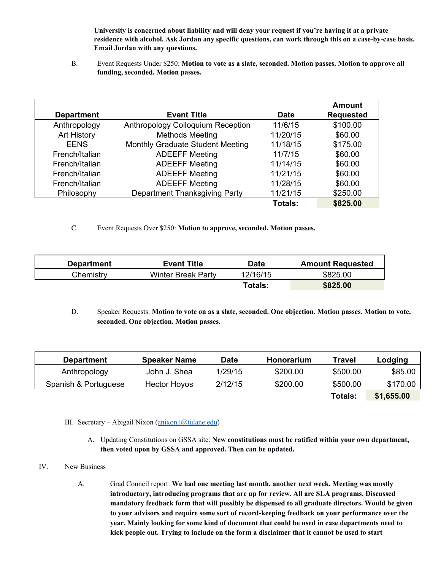**University is concerned about liability and will deny your request if you're having it at a private residence with alcohol. Ask Jordan any specific questions, can work through this on a casebycase basis. Email Jordan with any questions.**

B. Event Requests Under \$250: **Motion to vote as a slate, seconded. Motion passes. Motion to approve all funding, seconded. Motion passes.**

|                   |                                      |                | <b>Amount</b>    |
|-------------------|--------------------------------------|----------------|------------------|
| <b>Department</b> | <b>Event Title</b>                   | <b>Date</b>    | <b>Requested</b> |
| Anthropology      | Anthropology Colloquium Reception    | 11/6/15        | \$100.00         |
| Art History       | <b>Methods Meeting</b>               | 11/20/15       | \$60.00          |
| <b>EENS</b>       | Monthly Graduate Student Meeting     | 11/18/15       | \$175.00         |
| French/Italian    | <b>ADEEFF Meeting</b>                | 11/7/15        | \$60.00          |
| French/Italian    | <b>ADEEFF Meeting</b>                | 11/14/15       | \$60.00          |
| French/Italian    | <b>ADEEFF Meeting</b>                | 11/21/15       | \$60.00          |
| French/Italian    | <b>ADEEFF Meeting</b>                | 11/28/15       | \$60.00          |
| Philosophy        | <b>Department Thanksgiving Party</b> | 11/21/15       | \$250.00         |
|                   |                                      | <b>Totals:</b> | \$825.00         |

C. Event Requests Over \$250: **Motion to approve, seconded. Motion passes.**

| <b>Department</b> | <b>Event Title</b>        | <b>Date</b>    | <b>Amount Requested</b> |
|-------------------|---------------------------|----------------|-------------------------|
| Chemistry         | <b>Winter Break Party</b> | 12/16/15       | \$825.00                |
|                   |                           | <b>Totals:</b> | \$825.00                |

D. Speaker Requests: **Motion to vote on as a slate, seconded. One objection. Motion passes. Motion to vote, seconded. One objection. Motion passes.**

| <b>Department</b>    | <b>Speaker Name</b> | Date    | Honorarium | Travel         | Lodging    |
|----------------------|---------------------|---------|------------|----------------|------------|
| Anthropology         | John J. Shea        | 1/29/15 | \$200.00   | \$500.00       | \$85.00    |
| Spanish & Portuguese | Hector Hoyos        | 2/12/15 | \$200.00   | \$500.00       | \$170.00   |
|                      |                     |         |            | <b>Totals:</b> | \$1,655.00 |

- III. Secretary Abigail Nixon  $(\frac{anixon1}{\omega}tulane.edu)$ 
	- A. Updating Constitutions on GSSA site: **New constitutions must be ratified within your own department, then voted upon by GSSA and approved. Then can be updated.**

#### IV. New Business

A. Grad Council report: **We had one meeting last month, another next week. Meeting was mostly introductory, introducing programs that are up for review. All are SLA programs. Discussed mandatory feedback form that will possibly be dispensed to all graduate directors. Would be given to your advisors and require some sort of recordkeeping feedback on your performance over the year. Mainly looking for some kind of document that could be used in case departments need to kick people out. Trying to include on the form a disclaimer that it cannot be used to start**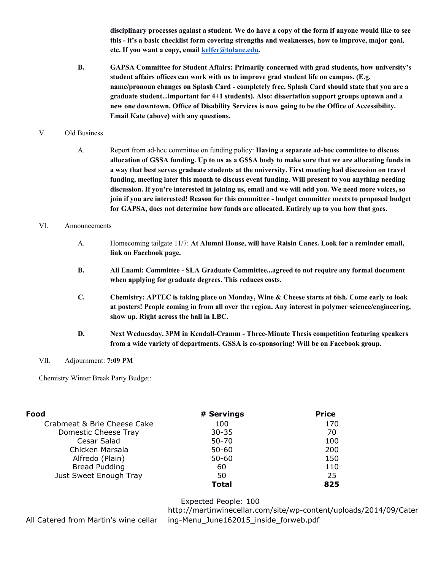disciplinary processes against a student. We do have a copy of the form if anyone would like to see **this it's a basic checklist form covering strengths and weaknesses, how to improve, major goal, etc. If you want a copy, email [kelfer@tulane.edu](mailto:kelfer@tulane.edu).**

**B. GAPSA Committee for Student Affairs: Primarily concerned with grad students, how university's student affairs offices can work with us to improve grad student life on campus. (E.g. name/pronoun changes on Splash Card completely free. Splash Card should state that you are a graduate student...important for 4+1 students). Also: dissertation support groups uptown and a new one downtown. Office of Disability Services is now going to be the Office of Accessibility. Email Kate (above) with any questions.**

### V. Old Business

A. Report from adhoc committee on funding policy: **Having a separate adhoc committee to discuss** allocation of GSSA funding. Up to us as a GSSA body to make sure that we are allocating funds in **a way that best serves graduate students at the university. First meeting had discussion on travel funding, meeting later this month to discuss event funding. Will present to you anything needing discussion. If you're interested in joining us, email and we will add you. We need more voices, so join if you are interested! Reason for this committee budget committee meets to proposed budget for GAPSA, does not determine how funds are allocated. Entirely up to you how that goes.**

#### VI. Announcements

- A. Homecoming tailgate 11/7: **At Alumni House, will have Raisin Canes. Look for a reminder email, link on Facebook page.**
- **B. Ali Enami: Committee SLA Graduate Committee...agreed to not require any formal document when applying for graduate degrees. This reduces costs.**
- **C. Chemistry: APTEC is taking place on Monday, Wine & Cheese starts at 6ish. Come early to look at posters! People coming in from all over the region. Any interest in polymer science/engineering, show up. Right across the hall in LBC.**
- **D. Next Wednesday, 3PM in KendallCramm ThreeMinute Thesis competition featuring speakers from a wide variety of departments. GSSA is cosponsoring! Will be on Facebook group.**

#### VII. Adjournment: **7:09 PM**

Chemistry Winter Break Party Budget:

| Food                        | # Servings | <b>Price</b> |  |
|-----------------------------|------------|--------------|--|
| Crabmeat & Brie Cheese Cake | 100        | 170          |  |
| Domestic Cheese Tray        | $30 - 35$  | 70           |  |
| Cesar Salad                 | $50 - 70$  | 100          |  |
| Chicken Marsala             | $50 - 60$  | 200          |  |
| Alfredo (Plain)             | $50 - 60$  | 150          |  |
| <b>Bread Pudding</b>        | 60         | 110          |  |
| Just Sweet Enough Tray      | 50         | 25           |  |
|                             | Total      | 825          |  |

## Expected People: 100

All Catered from Martin's wine cellar

http://martinwinecellar.com/site/wp-content/uploads/2014/09/Cater ing-Menu June162015 inside forweb.pdf